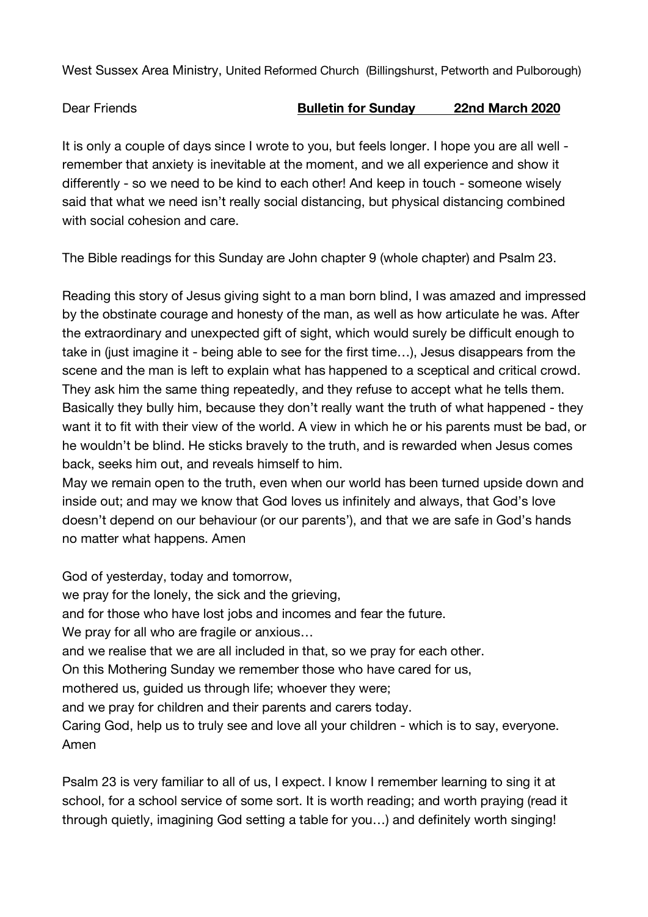West Sussex Area Ministry, United Reformed Church (Billingshurst, Petworth and Pulborough)

Dear Friends **Bulletin for Sunday 22nd March 2020**

It is only a couple of days since I wrote to you, but feels longer. I hope you are all well remember that anxiety is inevitable at the moment, and we all experience and show it differently - so we need to be kind to each other! And keep in touch - someone wisely said that what we need isn't really social distancing, but physical distancing combined with social cohesion and care.

The Bible readings for this Sunday are John chapter 9 (whole chapter) and Psalm 23.

Reading this story of Jesus giving sight to a man born blind, I was amazed and impressed by the obstinate courage and honesty of the man, as well as how articulate he was. After the extraordinary and unexpected gift of sight, which would surely be difficult enough to take in (just imagine it - being able to see for the first time...). Jesus disappears from the scene and the man is left to explain what has happened to a sceptical and critical crowd. They ask him the same thing repeatedly, and they refuse to accept what he tells them. Basically they bully him, because they don't really want the truth of what happened - they want it to fit with their view of the world. A view in which he or his parents must be bad, or he wouldn't be blind. He sticks bravely to the truth, and is rewarded when Jesus comes back, seeks him out, and reveals himself to him.

May we remain open to the truth, even when our world has been turned upside down and inside out; and may we know that God loves us infinitely and always, that God's love doesn't depend on our behaviour (or our parents'), and that we are safe in God's hands no matter what happens. Amen

God of yesterday, today and tomorrow, we pray for the lonely, the sick and the grieving, and for those who have lost jobs and incomes and fear the future. We pray for all who are fragile or anxious… and we realise that we are all included in that, so we pray for each other. On this Mothering Sunday we remember those who have cared for us, mothered us, guided us through life; whoever they were; and we pray for children and their parents and carers today. Caring God, help us to truly see and love all your children - which is to say, everyone. Amen

Psalm 23 is very familiar to all of us, I expect. I know I remember learning to sing it at school, for a school service of some sort. It is worth reading; and worth praying (read it through quietly, imagining God setting a table for you…) and definitely worth singing!